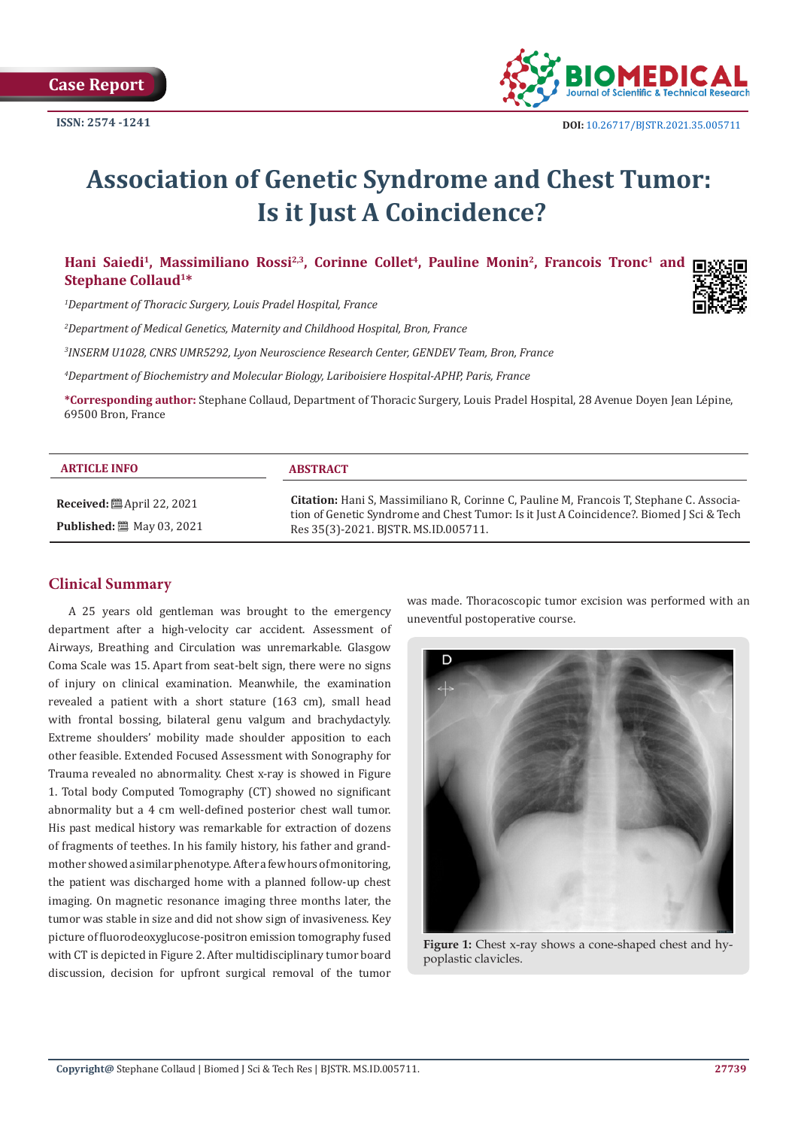

# **Association of Genetic Syndrome and Chest Tumor: Is it Just A Coincidence?**

Hani Saiedi<sup>1</sup>, Massimiliano Rossi<sup>2,3</sup>, Corinne Collet<sup>4</sup>, Pauline Monin<sup>2</sup>, Francois Tronc<sup>1</sup> and  $\blacksquare$ **Stephane Collaud1\***

*1 Department of Thoracic Surgery, Louis Pradel Hospital, France*

*2 Department of Medical Genetics, Maternity and Childhood Hospital, Bron, France*

*3 INSERM U1028, CNRS UMR5292, Lyon Neuroscience Research Center, GENDEV Team, Bron, France*

*4 Department of Biochemistry and Molecular Biology, Lariboisiere Hospital-APHP, Paris, France*

**\*Corresponding author:** Stephane Collaud, Department of Thoracic Surgery, Louis Pradel Hospital, 28 Avenue Doyen Jean Lépine, 69500 Bron, France

| <b>ARTICLE INFO</b>               | <b>ABSTRACT</b>                                                                                                                                                                                                              |
|-----------------------------------|------------------------------------------------------------------------------------------------------------------------------------------------------------------------------------------------------------------------------|
| <b>Received:</b> 圖 April 22, 2021 | Citation: Hani S, Massimiliano R, Corinne C, Pauline M, Francois T, Stephane C. Associa-<br>tion of Genetic Syndrome and Chest Tumor: Is it Just A Coincidence?. Biomed J Sci & Tech<br>Res 35(3)-2021. BISTR. MS.ID.005711. |
| <b>Published:</b> 圖 May 03, 2021  |                                                                                                                                                                                                                              |

## **Clinical Summary**

A 25 years old gentleman was brought to the emergency department after a high-velocity car accident. Assessment of Airways, Breathing and Circulation was unremarkable. Glasgow Coma Scale was 15. Apart from seat-belt sign, there were no signs of injury on clinical examination. Meanwhile, the examination revealed a patient with a short stature (163 cm), small head with frontal bossing, bilateral genu valgum and brachydactyly. Extreme shoulders' mobility made shoulder apposition to each other feasible. Extended Focused Assessment with Sonography for Trauma revealed no abnormality. Chest x-ray is showed in Figure 1. Total body Computed Tomography (CT) showed no significant abnormality but a 4 cm well-defined posterior chest wall tumor. His past medical history was remarkable for extraction of dozens of fragments of teethes. In his family history, his father and grandmother showed a similar phenotype. After a few hours of monitoring, the patient was discharged home with a planned follow-up chest imaging. On magnetic resonance imaging three months later, the tumor was stable in size and did not show sign of invasiveness. Key picture of fluorodeoxyglucose-positron emission tomography fused with CT is depicted in Figure 2. After multidisciplinary tumor board discussion, decision for upfront surgical removal of the tumor

was made. Thoracoscopic tumor excision was performed with an uneventful postoperative course.



**Figure 1:** Chest x-ray shows a cone-shaped chest and hypoplastic clavicles.